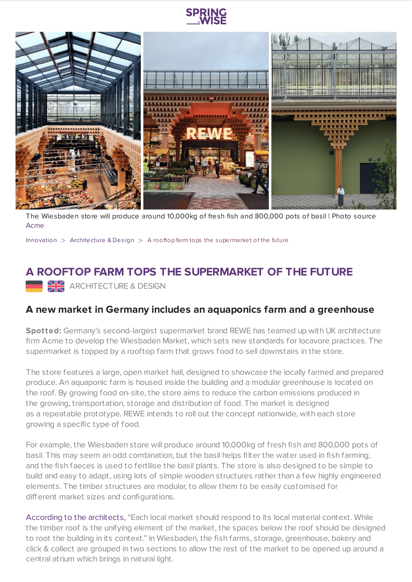

The Wiesbaden store will produce around 10,000kg of fresh fish and 800,000 pots of basil | Photo source [Acme](https://www.acme.ac/acme-space/164-market-of-the-future/)

[Innovation](https://www.springwise.com/search?type=innovation) > [Architecture](https://www.springwise.com/search?type=innovation§or=architecture-design) & Design > A rooftop farm tops the supermarket of the future

## **A ROOFTOP FARM TOPS THE SUPERMARKET OF THE FUTURE**

ARCHITECTURE & DESIGN

## **A new market in Germany includes an aquaponics farm and a greenhouse**

**Spotted:** Germany's second-largest supermarket brand REWE has teamed up with UK architecture firm Acme to develop the Wiesbaden Market, which sets new standards for locavore practices. The supermarket is topped by a rooftop farm that grows food to sell downstairs in the store.

The store features a large, open market hall, designed to showcase the locally farmed and prepared produce. An aquaponic farm is housed inside the building and a modular greenhouse is located on the roof. By growing food on-site, the store aims to reduce the carbon emissions produced in the growing, transportation, storage and distribution of food. The market is designed as a repeatable prototype. REWE intends to roll out the concept nationwide, with each store growing a specific type of food.

For example, the Wiesbaden store will produce around 10,000kg of fresh fish and 800,000 pots of basil. This may seem an odd combination, but the basil helps filter the water used in fish farming, and the fish faeces is used to fertilise the basil plants. The store is also designed to be simple to build and easy to adapt, using lots of simple wooden structures rather than a few highly engineered elements. The timber structures are modular, to allow them to be easily customised for different market sizes and configurations.

According to the [architects,](https://www.acme.ac/acme-space.php?space_id_text=192) "Each local market should respond to its local material context. While the timber roof is the unifying element of the market, the spaces below the roof should be designed to root the building in its context." In Wiesbaden, the fish farms, storage, greenhouse, bakery and click & collect are grouped in two sections to allow the rest of the market to be opened up around a central atrium which brings in natural light.